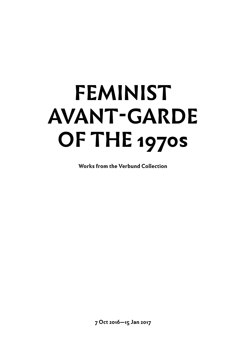# **FEMINIST AVANT-GARDE OF THE 1970s**

**Works from the Verbund Collection**

**7 Oct 2016—15 Jan 2017**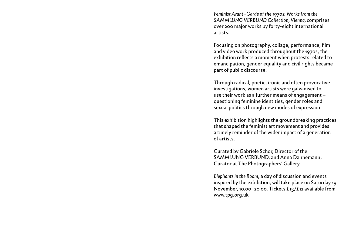*Feminist Avant–Garde of the 1970s: Works from the SAMMLUNG VERBUND Collection, Vienna,* comprises over 200 major works by forty-eight international artists.

Focusing on photography, collage, performance, film and video work produced throughout the 1970s, the exhibition reflects a moment when protests related to emancipation, gender equality and civil rights became part of public discourse.

Through radical, poetic, ironic and often provocative investigations, women artists were galvanised to use their work as a further means of engagement – questioning feminine identities, gender roles and sexual politics through new modes of expression.

This exhibition highlights the groundbreaking practices that shaped the feminist art movement and provides a timely reminder of the wider impact of a generation of artists.

Curated by Gabriele Schor, Director of the SAMMLUNG VERBUND, and Anna Dannemann, Curator at The Photographers' Gallery.

*Elephants in the Room*, a day of discussion and events inspired by the exhibition, will take place on Saturday 19 November, 10.00–20.00. Tickets £15/£12 available from www.tpg.org.uk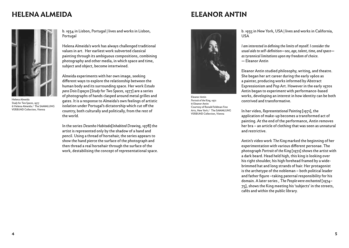### **HELENA ALMEIDA ELEANOR ANTIN**



Helena Almeida *Study for Two Spaces*, 1977 © Helena Almeida / The SAMMLUNG VERBUND Collection, Vienna

b. 1934 in Lisbon, Portugal | lives and works in Lisbon, Portugal

Helena Almeida's work has always challenged traditional values in art. Her earliest work subverted classical painting through its ambiguous compositions, combining photography and other media, in which space and time, subject and object, become intertwined.

Almeida experiments with her own image, seeking different ways to explore the relationship between the human body and its surrounding space. Her work *Estudo para Dois Espaços* [*Study for Two Spaces*, 1977] are a series of photographs of hands clasped around metal grilles and gates. It is a response to Almeida's own feelings of artistic isolation under Portugal's dictatorship which cut off the country, both culturally and politically, from the rest of the world.

In the series *Desenho Habitado*[*Inhabited Drawing*, 1978] the artist is represented only by the shadow of a hand and pencil. Using a thread of horsehair, the series appears to show the hand pierce the surface of the photograph and then thread a real horsehair through the surface of the work, destabilising the concept of representational space.



Eleanor Antin *Portrait of the King*, 1972 © Eleanor Antin Courtesy of Ronald Feldman Fine Arts, New York / The SAMMLUNG VERBUND Collection, Vienna

b. 1935 in New York, USA | lives and works in California, USA

*I am interested in defining the limits of myself. I consider the usual aids to self-definition—sex, age, talent, time, and space as tyrannical limitations upon my freedom of choice.* — Eleanor Antin

Eleanor Antin studied philosophy, writing, and theatre. She began her art career during the early 1960s as a painter, producing works informed by Abstract Expressionism and Pop Art. However in the early 1970s Antin began to experiment with performance-based works, developing an interest in how identity can be both contrived and transformative.

In her video, *Representational Painting* [1971], the application of make-up becomes a transformed act of painting. At the end of the performance, Antin removes her bra – an article of clothing that was seen as unnatural and restrictive.

Antin's video work *The King* marked the beginning of her experimentation with various different personae. The photograph *Portrait of the King* [1972] shows the artist with a dark beard. Head held high, this king is looking over his right shoulder, his high forehead framed by a widebrimmed hat and long strands of hair. Her protagonist is the archetype of the nobleman – both political leader and father figure –taking paternal responsibility for his domain. A later series , *The People were enchanted* [1974– 75], shows the King meeting his 'subjects' in the streets, cafés and within the public library.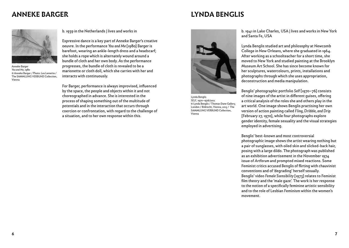### **ANNEKE BARGER**

### **LYNDA BENGLIS**



Anneke Barger *You and Me*, 1980 © Anneke Barger / Photo: Lex Lemette / The SAMMLUNG VERBUND Collection, Vienna

b. 1939 in the Netherlands | lives and works in

Expressive dance is a key part of Anneke Barger's creative oeuvre. In the performance *You and Me* [1980] Barger is barefoot, wearing an ankle-length dress and a headscarf; she holds a rope which is alternately wound around a bundle of cloth and her own body. As the performance progresses, the bundle of cloth is revealed to be a marionette or cloth doll, which she carries with her and interacts with continuously.

For Barger, performance is always improvised, influenced by the space, the people and objects within it and not choreographed in advance. She is interested in the process of shaping something out of the multitude of potentials and in the interaction that occurs through coercion or confrontation, with regard to the challenge of a situation, and to her own response within this.



Lynda Benglis *SELF*, 1970–1976/2012 © Lynda Benglis / Thomas Dane Gallery, London / Bildrecht, Vienna, 2015 / The SAMMLUNG VERBUND Collection, Vienna

b. 1941 in Lake Charles, USA | lives and works in New York and Santa Fe, USA

Lynda Benglis studied art and philosophy at Newcomb College in New Orleans, where she graduated in 1964. After working as a schoolteacher for a short time, she moved to New York and studied painting at the Brooklyn Museum Art School. She has since become known for her sculptures, watercolours, prints, installations and photographs through which she uses appropriation, deconstruction and media manipulation.

Benglis' photographic portfolio *Self* [1970–76] consists of nine images of the artist in different guises, offering a critical analysis of the roles she and others play in the art world. One image shows Benglis practising her own version of action painting called *Fling, Dribble, and Drip* [February 27, 1970], while four photographs explore gender identity, female sexuality and the visual strategies employed in advertising.

Benglis' best-known and most controversial photographic image shows the artist wearing nothing but a pair of sunglasses, with oiled skin and slicked-back hair, posing with a large dildo. The photograph was published as an exhibition advertisement in the November 1974 issue of *Artforum* and prompted mixed reactions. Some Feminist critics accused Benglis of flirting with chauvinist conventions and of 'degrading' herself sexually. Benglis' video *Female Ssensibility* [1973] relates to Feminist film theory and the 'male gaze'. The work is her response to the notion of a specifically feminine artistic sensibility and to the role of Lesbian Feminism within the women's movement.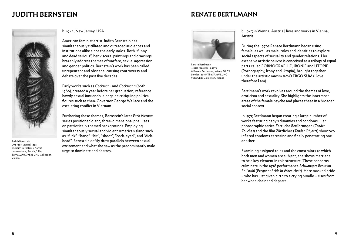### **JUDITH BERNSTEIN RENATE BERTLMANN**



Judith Bernstein *One Panel Vertical*, 1978 © Judith Bernstein / Karma International, Zurich / The SAMMLUNG VERBUND Collection, Vienna

b. 1942, New Jersey, USA

American feminist artist Judith Bernstein has simultaneously titillated and outraged audiences and institutions alike since the early 1960s. Both "funny and dead serious", her visceral paintings and drawings brazenly address themes of warfare, sexual aggression and gender politics. Bernstein's work has been called unrepentant and obscene, causing controversy and debate over the past five decades.

Early works such as *Cockman 1* and *Cockman 2* (both 1966), created a year before her graduation, reference bawdy sexual innuendo, alongside critiquing political figures such as then-Governor George Wallace and the escalating conflict in Vietnam.

Furthering these themes, Bernstein's later *Fuck Vietnam* series positioned giant, three-dimensional phalluses on patriotically themed backgrounds. Employing simultaneously sexual and violent American slang such as "fuck", "bang", "hit", "shoot", "cock-eyed", and "dickhead", Bernstein deftly drew parallels between sexual excitement and what she saw as the predominantly male urge to dominate and destroy.



Renate Bertlmann *Tender Touches 1–5*, 1976 © Renate Bertlmann, Wien / DACS, London, 2016/ The SAMMLUNG VERBUND Collection, Vienna

b. 1943 in Vienna, Austria | lives and works in Vienna, Austria

During the 1970s Renate Bertlmann began using female, as well as male, roles and identities to explore social aspects of sexuality and gender relations. Her extensive artistic oeuvre is conceived as a trilogy of equal parts called PORNOGRAPHIE, IRONIE and UTOPIE (Pornography, Irony and Utopia), brought together under the artistic maxim AMO ERGO SUM (I love therefore I am).

Bertlmann's work revolves around the themes of love, eroticism and sexuality. She highlights the innermost areas of the female psyche and places these in a broader social context.

In 1975 Bertlmann began creating a large number of works featuring baby's dummies and condoms. Her photographic series *Z*ärtliche *Ber*ührungen (*Tender Touches*) and the film *Z*ärtliche*s* (*Tender Objects*) show two inflated condoms caressing and finally penetrating one another.

Examining assigned roles and the constraints to which both men and women are subject, she shows marriage to be a key element in this structure. These concerns culminate in the 1978 performance *Schwangere Braut im Rollstuhl* (*Pregnant Bride in Wheelchair*). Here masked bride – who has just given birth to a crying bundle – rises from her wheelchair and departs.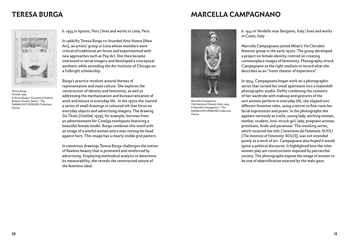### **TERESA BURGA MARCELLA CAMPAGNANO**



Teresa Burga *Untitled*, 1979 © Teresa Burga / Courtesy of Galerie Barbara Thumm, Berlin / The SAMMLUNG VERBUND Collection, Vienna

b. 1935 in Iquitos, Peru | lives and works in Lima, Peru

In 1966/67 Teresa Burga co-founded Arte Nuevo [New Art], an artists' group in Lima whose members were critical of traditional art forms and experimented with new approaches such as Pop Art. She then became interested in serial imagery and developed a conceptual aesthetic while attending the Art Institute of Chicago on a Fulbright scholarship.

Burga's practice revolves around themes of representation and mass culture. She explores the construction of identity and femininity, as well as addressing the mechanisation and bureaucratisation of work and leisure in everyday life. In the 1970s she started a series of small drawings in coloured ink that focus on everyday objects and advertising imagery. The drawing *Sin T*îtulo [*Untitled*, 1979], for example, borrows from an advertisement for Cotelga toothpaste featuring a beautiful female model. Burga combines this motif with an image of a wistful woman and a man resting his head against hers. This image has a clearly visible grid pattern.

In numerous drawings Teresa Burga challenges the notion of flawless beauty that is promoted and reinforced by advertising. Employing methodical analysis to determine its measurability, she reveals the constructed nature of the feminine ideal.



Marcella Campagnano *The Invention of Feminity: Roles*, 1974 © Marcella Campagnano / The SAMMLUNG VERBUND Collection, Vienna

b. 1941 in Verdello near Bergamo, Italy | lives and works in Como, Italy

Marcella Campagnano joined Milan's *Via Cherubini* feminist group in the early 1970s. The group developed a project on female identity centred on creating commonplace images of femininity. Photography struck Campagnano as the right medium to record what she describes as an "ironic theater of experience".

In 1974, Campagnano began work on a photographic series that turned her small apartment into a makeshift photographic studio. Deftly combining the contents of her wardrobe with makeup and gestures of the sort women perform in everyday life, she slipped into different feminine roles, using a mirror to fine-tune her facial expressions and poses. In the photographs she appears variously as a wife, young lady, working woman, mother, student, love-struck girl, lady, pregnant woman, prostitute, bride and paramour. The resulting series, which received the title *L'Invenzione del Femminile: RUOLI* [*The Invention of Femininity: ROLES*], was not intended purely as a work of art. Campagnano also hoped it would ignite a political discourse. It highlighted how the roles women play are constructions imposed by patriarchal society. The photographs expose the image of women to be one of objectification enacted by the male gaze.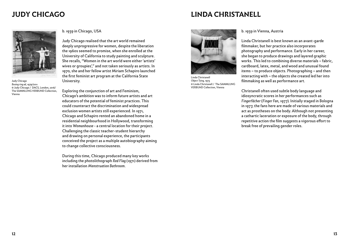### **JUDY CHICAGO LINDA CHRISTANELL**



Judy Chicago *Boxing ring ad*, 1979/2011 © Judy Chicago / DACS, London, 2016/ The SAMMLUNG VERBUND Collection, Vienna

### b. 1939 in Chicago, USA

Judy Chicago realised that the art world remained deeply unprogressive for women, despite the liberation the 1960s seemed to promise, when she enrolled at the University of California to study painting and sculpture. She recalls, "Women in the art world were either 'artists' wives or groupies'," and not taken seriously as artists. In 1970, she and her fellow artist Miriam Schapiro launched the first feminist art program at the California State University.

Exploring the conjunction of art and Feminism, Chicago's ambition was to inform future artists and art educators of the potential of feminist practices. This could counteract the discrimination and widespread exclusion women artists still experienced. In 1971, Chicago and Schapiro rented an abandoned home in a residential neighbourhood in Hollywood, transforming it into *Womanhouse* - a central location for their project. Challenging the classic teacher-student hierarchy and drawing on personal experience, the participants conceived the project as a multiple autobiography aiming to change collective consciousness.

During this time, Chicago produced many key works including the photolithograph *Red Flag* (1971) derived from her installation *Menstruation Bathroom*.



Linda Christanell *Object Tying*, 1973 © Linda Christanell / The SAMMLUNG VERBUND Collection, Vienna

### b. 1939 in Vienna, Austria

Linda Christanell is best known as an avant-garde filmmaker, but her practice also incorporates photography and performance. Early in her career, she began to produce drawings and layered graphic works. This led to combining diverse materials – fabric, cardboard, latex, metal, and wood and unusual found items – to produce objects. Photographing – and then interacting with – the objects she created led her into filmmaking as well as performance art.

Christanell often used subtle body language and idiosyncratic scores in her performances such as *Fingerfächer* (*Finger Fan*, 1977). Initially staged in Bologna in 1977, the fans here are made of various materials and act as prostheses on the body. Although not presenting a cathartic laceration or exposure of the body, through repetitive action the film suggests a vigorous effort to break free of prevailing gender roles.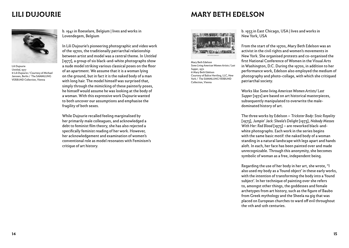### **LILI DUJOURIE MARY BETH EDELSON**



Lili Dujourie *Untitled*, 1977 © Lili Dujourie / Courtesy of Michael Janssen, Berlin / The SAMMLUNG VERBUND Collection, Vienna

b. 1941 in Roeselare, Belgium | lives and works in Lovendegem, Belgium

In Lili Dujourie's pioneering photographic and video work of the 1970s, the traditionally patriarchal relationship between artist and model was a central theme. In *Untitled*  [1977], a group of six black-and-white photographs show a nude model striking various classical poses on the floor of an apartment. We assume that it is a woman lying on the ground, but in fact it is the naked body of a man with long hair. The model himself was surprised that, simply through the mimicking of these painterly poses, he himself would assume he was looking at the body of a woman. With this expressive work Dujourie wanted to both uncover our assumptions and emphasise the fragility of both sexes.

While Dujourie recalled feeling marginalised by her primarily male colleagues, and acknowledged a debt to feminist film theory, she has also rejected a specifically feminist reading of her work. However, her acknowledgement and examination of women's conventional role as model resonates with Feminism's critique of art history.



Mary Beth Edelson *Some Living American Women Artists / Last Supper*, 1972 © Mary Beth Edelson Courtesy of Balice Hertling, LLC, New York / The SAMMLUNG VERBUND Collection, Vienna

b. 1933 in East Chicago, USA | lives and works in New York, USA

From the start of the 1970s, Mary Beth Edelson was an activist in the civil rights and women's movements in New York. She organised protests and co-organised the first National Conference of Women in the Visual Arts in Washington, D.C. During the 1970s, in addition to her performance work, Edelson also employed the medium of photography and photo-collage, with which she critiqued patriarchal society.

Works like *Some living American Women Artists/ Last Supper* [1972] are based on art historical masterpieces, subsequently manipulated to overwrite the maledominated history of art.

The three works by Edelson – *Trickster Body: Stoic Royality* [1973], *Jumpin' Jack: Sheela's Delight* [1973], *Nobody Messes With Her: Red Blood* [1973] – are reworked black-andwhite photographs. Each work in the series begins with the same basic motif: the naked body of a woman standing in a natural landscape with legs apart and hands aloft. In each, her face has been painted over and made unrecognizable. Through this anonymity, she becomes symbolic of woman as a free, independent being.

Regarding the use of her body in her art, she wrote, "I also used my body as a 'found object' in these early works, with the intention of transforming the body into a 'found subject'. In her technique of painting over she refers to, amongst other things, the goddesses and female archetypes from art history, such as the figure of Baubo from Greek mythology and the Sheela na gig that was placed on European churches to ward off evil throughout the 11th and 12th centuries.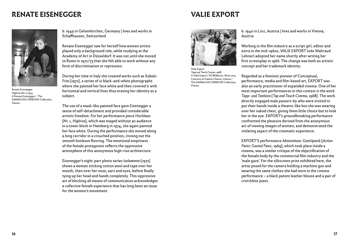### **RENATE EISENEGGER VALIE EXPORT**



Renate Eisenegger *Highrise (No 1),* 1974 © Renate Eisenegger / The SAMMLUNG VERBUND Collection, Vienna

b. 1949 in Gelsenkirchen, Germany | lives and works in Schaffhausen, Switzerland

Renate Eisenegger saw for herself how women artists played only a background role, while studying at the Academy of Art in Düsseldorf. It was not until she moved to Rome in 1972/73 that she felt able to work without any form of discrimination or repression.

During her time in Italy she created works such as *Kabuki-Fries* [1972], a series of 12 black-and-white photographs where she painted her face white and then covered it with horizontal and vertical lines thus erasing her identity as a subject.

The use of a mask-like painted face gave Eisenegger a sense of self-detachment and provided considerable artistic freedom. For her performance piece *Hochhaus* [Nr. 1, *Highrise*], which was staged without an audience in a tower block in Hamburg in 1974, she again painted her face white. During the performance she moved along a long corridor in a crouched position, ironing out the smooth linoleum flooring. The emotional emptiness of the female protagonist reflects the oppressive atmosphere of this anonymous high-rise architecture.

Eisenegger's eight-part photo series *Isolamento* [1972] shows a woman sticking cotton wool and tape over her mouth, then over her nose, ears and eyes, before finally tying up her head and hands completely. This oppressive act of blocking all means of communication acknowledges a collective female experience that has long been an issue for the women's movement.



Valie Export *Tapp and Touch Cinema*, 1968 © Valie Export/ VG Bildkunst, Bonn 2015 Courtesy of Galerie Charim, Vienna / The SAMMLUNG VERBUND Collection, Vienna

b. 1940 in Linz, Austria | lives and works in Vienna, Austria

Working in the film industry as a script girl, editor and extra in the mid-1960s, VALIE EXPORT (née Waltraud Lehner) adopted her name shortly after writing her first screenplay in 1966. The change was both an artistic concept and her trademark identity.

Regarded as a feminist pioneer of Conceptual, performance, media and film-based art, EXPORT was also an early practitioner of expanded cinema. One of her most important performances in this context is the work *Tapp- und Tastkino* [*Tap and Touch Cinema*, 1968]. The work directly engaged male passers-by who were invited to put their hands inside a theatre-like box she was wearing over her naked chest, giving them little choice but to look her in the eye. EXPORT's groundbreaking performance confronted the pleasure derived from the anonymous act of viewing images of women, and demonstrated the violating aspect of the cinematic experience.

EXPORT'S performance *Aktionshose: Gentilpanik* [*Action Pants: Genital Panic*, 1969], which took place inside a cinema, was a similar critique of the objectification of the female body by the commercial film industry and the 'male gaze'. For the silkscreen print exhibited here, the artist posed for the camera holding a machine gun and wearing the same clothes she had worn in the cinema performance – a black patent leather blouse and a pair of crotchless jeans.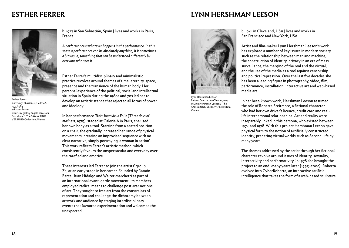### **ESTHER FERRER LYNN HERSHMAN LEESON**



Esther Ferrer *Three Days of Madness, Gallery A*, 1975/1984 © Esther Ferrer Courtesy gallery àngels barcelona, Barcelona / The SAMMLUNG VERBUND Collection, Vienna

b. 1937 in San Sebastián, Spain | lives and works in Paris, France

*A performance is whatever happens in the performance. In this sense a performance can be absolutely anything; it is sometimes a bit vague, something that can be understood differently by everyone who sees it.* 

Esther Ferrer's multidisciplinary and minimalistic practice revolves around themes of time, eternity, space, presence and the transience of the human body. Her personal experience of the political, social and intellectual situation in Spain during the 1960s and 70s led her to develop an artistic stance that rejected all forms of power and ideology.

In her performance *Trois Jours de la Folie* [*Three days of madness*, 1975], staged at Galerie A in Paris, she used her own body as a tool. Starting from a seated position on a chair, she gradually increased her range of physical movements, creating an improvised sequence with no clear narrative, simply portraying 'a woman in action'. This work reflects Ferrer's artistic method, which consistently favours the unspectacular and everyday over the rarefied and emotive.

These interests led Ferrer to join the artists' group Zaj at an early stage in her career. Founded by Ramón Barce, Juan Hidalgo and Walter Marchetti as part of an international avant-garde movement, its members employed radical means to challenge post-war notions of art. They sought to free art from the constraints of representation and challenge the dichotomy between artwork and audience by staging interdisciplinary events that favoured experimentation and welcomed the unexpected.



Lynn Hershman Leeson *Roberta Construction Chart #1*, 1975 © Lynn Hershman Leeson / The SAMMLUNG VERBUND Collection, Vienna

b. 1941 in Cleveland, USA | lives and works in San Francisco and New York, USA

Artist and film-maker Lynn Hershman Leeson's work has explored a number of key issues in modern society such as the relationship between man and machine, the construction of identity, privacy in an era of mass surveillance, the merging of the real and the virtual, and the use of the media as a tool against censorship and political repression. Over the last five decades she has been a leading figure in photography, video, film, performance, installation, interactive art and web-based media art.

In her best-known work, Hershman Leeson assumed the role of Roberta Breitmore, a fictional character who had her own driver's licence, credit card and reallife interpersonal relationships. Art and reality were inseparably linked in this persona, who existed between 1974 and 1978. With this project Hershman Leeson gave physical form to the notion of artificially constructed identity, predating virtual worlds such as Second Life by many years.

The themes addressed by the artist through her fictional character revolve around issues of identity, sexuality, interactivity and performativity. In 1978 she brought the project to an end. Many years later [1995–2000], Roberta evolved into CyberRoberta, an interactive artificial intelligence that takes the form of a web-based sculpture.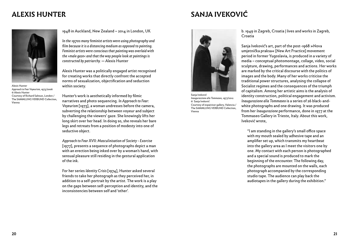### **ALEXIS HUNTER SANJA IVEKOVIĆ**

Alexis Hunter *Approach to Fear Voyeurism*, 1973/2006 © Alexis Hunter Courtesy of Richard Saltoun, London / The SAMMLUNG VERBUND Collection, Vienna

1948 in Auckland, New Zealand – 2014 in London, UK

*In the 1970s many feminist artists were using photography and film because it is a distancing medium as opposed to painting. Feminist artists were conscious that painting was overlaid with the ›male gaze‹ and that the way people look at paintings is constructed by patriarchy. —* Alexis Hunter

Alexis Hunter was a politically engaged artist recognised for creating works that directly confront the accepted norms of sexualization, objectification and seduction within society.

Hunter's work is aesthetically informed by filmic narratives and photo sequencing. *In Approach to Fear: Voyeurism* [1973], a woman undresses before the camera, subverting the relationship between voyeur and subject by challenging the viewers' gaze. She knowingly lifts her long skirt over her head. In doing so, she reveals her bare legs and retreats from a position of modesty into one of seductive object.

*Approach to Fear XVII: Masculinisation of Society - Exorcise* [1977], presents a sequence of photographs depict a man with an erection being inked over by a woman's hand, with sensual pleasure still residing in the gestural application of the ink.

For her series *Identity Crisis* [1974], Hunter asked several friends to take her photograph as they perceived her, in addition to a self-portrait by the artist. The work is a play on the gaps between self-perception and identity, and the inconsistencies between self and 'other'.



Sanja Iveković *Inaugurazzione alla Tommaseo*, 1977/2012 © Sanja Iveković Courtesy of espaivisor gallery, Valencia / The SAMMLUNG VERBUND Collection, Vienna

### b. 1949 in Zagreb, Croatia | lives and works in Zagreb, Croatia

Sanja Iveković's art, part of the post-1968 »Nova umjetnička praksa« [New Art Practice] movement period in former Yugoslavia, is produced in a variety of media – conceptual photomontage, collage, video, social sculpture, drawing, performances and actions. Her works are marked by the critical discourse with the politics of images and the body. Many of her works criticise the traditional power structures, analysing the collapse of Socialist regimes and the consequences of the triumph of capitalism. Among her artistic aims is the analysis of identity construction, political engagement and activism. *Inaugurazione alla Tommaseo* is a series of 26 black-andwhite photographs and one drawing. It was produced from her *Inaugurazione* performance, done in 1977 at the Tommaseo Gallery in Trieste, Italy. About this work, Iveković wrote,

"I am standing in the gallery's small office space with my mouth sealed by adhesive tape and an amplifier set up, which transmits my heartbeat into the gallery area as I meet the visitors one by one. My contact with each person is photographed and a special sound is produced to mark the beginning of the encounter. The following day, the photographs are mounted on the walls, each photograph accompanied by the corresponding studio tape. The audience can play back the audiotapes in the gallery during the exhibition."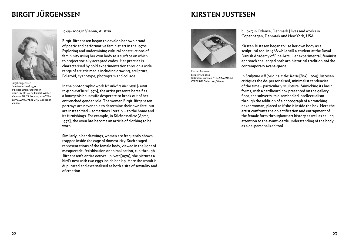# **BIRGIT JÜRGENSSEN KIRSTEN JUSTESEN**



Birgit Jürgenssen *I want out of here!,* 1976 © Estate Birgit Jürgenssen Courtesy of Galerie Hubert Winter, Vienna / DACS, London, 2016/ The SAMMI UNG VERBUND Collection Vienna

1949–2003 in Vienna, Austria

Birgit Jürgenssen began to develop her own brand of poetic and performative feminist art in the 1970s. Exploring and undermining cultural constructions of femininity using her own body as a surface on which to project socially accepted codes. Her practice is characterised by bold experimentation through a wide range of artistic media including drawing, sculpture, Polaroid, cyanotype, photogram and collage.

In the photographic work *Ich m*ö*chte hier raus!* [*I want to get out of here!* 1976], the artist presents herself as a bourgeois housewife desperate to break out of her entrenched gender role. The women Birgit Jürgenssen portrays are never able to determine their own fate, but are instead tied – sometimes literally – to the home and its furnishings. For example, in *K*ü*chensch*ü*rze* [*Apron*, 1975], the oven has become an article of clothing to be worn.

Similarly in her drawings, women are frequently shown trapped inside the cage of domesticity. Such staged representations of the female body, viewed in the light of masquerade, fetishisation or animalisation, run through Jürgenssen's entire oeuvre. In *Nest* [1979], she pictures a bird's nest with two eggs inside her lap. Here the womb is duplicated and externalised as both a site of sexuality and of creation.



Kirsten Justesen *Sculpture #2*, 1968 © Kirsten Justesen / The SAMMLUNG VERBUND Collection, Vienna

.

b. 1943 in Odense, Denmark | lives and works in Copenhagen, Denmark and New York, USA

Kirsten Justesen began to use her own body as a sculptural tool in 1968 while still a student at the Royal Danish Academy of Fine Arts. Her experimental, feminist approach challenged both art-historical tradition *and* the contemporary avant-garde.

In *Sculpture # II* (original title: *Kasse* [*Box*], 1969) Justesen critiques the de-personalised, minimalist tendencies of the time – particularly sculpture. Mimicking its basic forms, with a cardboard box presented on the gallery floor, she subverts its disembodied intellectualism through the addition of a photograph of a crouching naked woman, placed as if she is inside the box. Here the artist confronts the objectification and entrapment of the female form throughout art history as well as calling attention to the avant-garde understanding of the body as a de-personalized tool.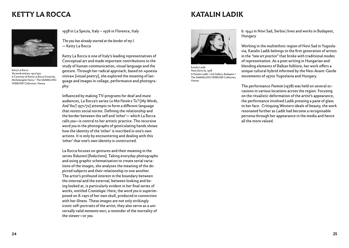### **KETTY LA ROCCA KETTY LA ROCCA**



Ketty La Rocca *My words and you,* 1971/1972 © Courtesy of Ketty La Rocca Estate by Michelangelo Vasta / The SAMMLUNG VERBUND Collection, Vienna

1938 in La Spezia, Italy – 1976 in Florence, Italy

*The you has already started at the border of my I. —* Ketty La Rocca

Ketty La Rocca is one of Italy's leading representatives of Conceptual art and made important contributions to the study of human communication, visual language and the gesture. Through her radical approach, based on »poesia visiva« [visual poetry], she explored the meaning of language and images in collage, performance and photography.

Influenced by making TV-programs for deaf and mute audiences, La Rocca's series *Le Mie Parole e Tu?* [*My Words, And You?,* 1971/72] attempts to form a different language that resists social norms. Defining the relationship and the border between the self and 'other'— which La Rocca calls *you*—is central to her artistic practice. The recursive word *you* in the photographs of gesticulating hands shows how the identity of the 'other' is inscribed in one's own actions. It is only by encountering and dealing with this 'other' that one's own identity is constructed.

La Rocca focuses on gestures and their meaning in the series *Riduzioni* [*Reductions*]. Taking everyday photographs and using graphic schematisation to create serial variations of the images, she analyses the meaning of the depicted subjects and their relationship to one another. The artist's profound interest in the boundary between the internal and the external, between looking and being looked at, is particularly evident in her final series of works, entitled *Craniologie*. Here, the word *you* is superimposed on X-rays of her own skull, produced in connection with her illness. These images are not only strikingly iconic self-portraits of the artist; they also serve as a universally valid *memento mori*, a reminder of the mortality of the viewer—or *you*.



Katalin Ladik *Poem (Serie A)*, 1978 © Katalin Ladik / acb Gallery, Budapest / The SAMMLUNG VERBUND Collection, Vienna

b. 1942 in Novi Sad, Serbia | lives and works in Budapest, Hungary

Working in the multiethnic region of Novi Sad in Yugoslavia, Katalin Ladik belongs to the first generation of artists in the *"new art practice"* that broke with traditional modes of representation. As a poet writing in Hungarian and blending elements of Balkan folklore, her work offers a unique cultural hybrid informed by the Neo-Avant-Garde movements of 1970s Yugoslavia and Hungary.

The performance *Poemim* (1978) was held on several occasions in various locations across the region. Focusing on the ritualistic deformation of the artist's appearance, the performance involved Ladik pressing a pane of glass to her face. Critiquing Western ideals of beauty, the work resonated further as Ladik had become a recognisable persona through her appearance in the media and hence all the more valued.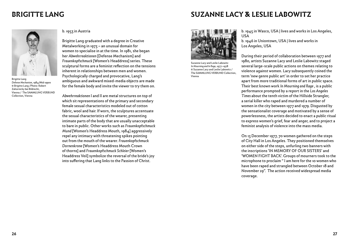Brigitte Lang *Defense Mechanism*, 1984/Mid 1990s © Brigitte Lang /Photo: Robert Zahornicky bei Bildrecht, Vienna / The SAMMLUNG VERBUND Collection, Vienna

### b. 1953 in Austria

Brigitte Lang graduated with a degree in Creative Metalworking in 1973 – an unusual domain for women to specialise in at the time. In 1981, she began her *Abwehrreaktionen* [Defense Mechanism] and *Frauenkopfschmuck* [Women's Headdress] series. These sculptural forms are a feminist reflection on the tensions inherent in relationships between men and women. Psychologically charged and provocative, Lang's ambiguous and awkward mixed-media objects are made for the female body and invite the viewer to try them on.

*Abwehrreaktionen* I and II are metal structures on top of which sit representations of the primary and secondary female sexual characteristics modeled out of cotton fabric, wool and hair. If worn, the sculptures accentuate the sexual characteristics of the wearer, presenting intimate parts of the body that are usually unacceptable to bare in public. Other works such as *Frauenkopfschmuck Mund* [Women's Headdress Mouth, 1984] aggressively repel any intimacy with threatening spikes pointing out from the mouth of the wearer. *Frauenkopfschmuck Dornenkrone* [Women's Headdress Mouth Crown of thorns] and *Frauenkopfschmuck Schleier* [Women's Headdress Veil] symbolize the reversal of the bride's joy into suffering that Lang links to the Passion of Christ.

### **BRIGITTE LANG SUZANNE LACY & LESLIE LABOWITZ**



Suzanne Lacy and Leslie Labowitz *In Mourning and In Rage*, 1977–1978 © Suzanne Lacy and Leslie Labowitz / The SAMMLUNG VERBUND Collection, Vienna

b. 1945 in Wasco, USA | lives and works in Los Angeles, USA

b. 1946 in Uniontown, USA | lives and works in Los Angeles, USA

During their period of collaboration between 1977 and 1980, artists Suzanne Lacy and Leslie Labowitz staged several large-scale public actions on themes relating to violence against women. Lacy subsequently coined the term 'new genre public art' in order to set her practice apart from more traditional forms of art in public space. Their best known work *In Mourning and Rage* , is a public performance prompted by a report in the *Los Angeles Times* about the tenth victim of the Hillside Strangler, a serial killer who raped and murdered a number of women in the city between 1977 and 1979. Disgusted by the sensationalist coverage and motivated by a sense of powerlessness, the artists decided to enact a public ritual to express women's grief, fear and anger, and to project a feminist analysis of violence into the mass media.

On 13 December 1977, 70 women gathered on the steps of City Hall in Los Angeles. They positioned themselves on either side of the steps, unfurling two banners with the inscriptions 'IN MEMORY OF OUR SISTERS' and 'WOMEN FIGHT BACK'. Groups of mourners took to the microphone to proclaim " I am here for the 10 women who have been raped and strangled between October 18 and November 29". The action received widespread media coverage.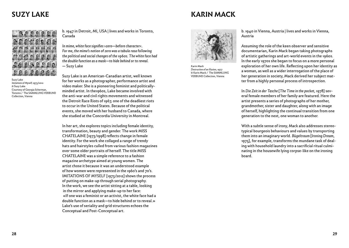# **SUZY LAKE KARIN MACK**



Suzy Lake *Imitations of Myself,* 1973/2012 © Suzy Lake Courtesy of Georgia Scherman, Toronto / The SAMMLUNG VERBUND Collection, Vienna

b. 1947 in Detroit, MI, USA | lives and works in Toronto, Canada

*In mime, white face signifies* ›*zero—before character*‹*. For me, the mime's notion of zero was a tabula rasa following the political and social changes of the 1960s. The white face had the double function as a mask—to hide behind or to reveal.* — Suzy Lake

Suzy Lake is an American-Canadian artist, well known for her works as a photographer, performance artist and video maker. She is a pioneering feminist and politicallyminded artist. In the1960s, Lake became involved with the anti-war and civil rights movements and witnessed the Detroit Race Riots of 1967, one of the deadliest riots to occur in the United States. Because of the political events, she moved with her husband to Canada, where she studied at the Concordia University in Montreal.

In her art, she explores topics including female identity, transformation, beauty and gender. The work MISS CHATELAINE [1973/1998] reflects change in female identity. For the work she collaged a range of trendy hats and hairstyles culled from various fashion magazines over some older portraits of herself. The title MISS CHATELAINE was a simple reference to a fashion magazine archetype aimed at young women. The artist chose it because it was an understood example of how women were represented in the 1960's and 70's. IMITATIONS OF MYSELF [1973/2012] shows the process of putting on make-up through serial photography. In the work, we see the artist sitting at a table, looking in the mirror and applying make-up to her face: «If one was a feminist or an activist, the white face had a double function as a mask—to hide behind or to reveal.» Lake's use of seriality and grid structures echoes the Conceptual and Post-Conceptual art.



Karin Mack *Destruction of an Illusion*, 1977 © Karin Mack / The SAMMLUNG VERBUND Collection, Vienna

b. 1940 in Vienna, Austria | lives and works in Vienna, Austria

Assuming the role of the keen observer and sensitive documentarian, Karin Mack began taking photographs of artistic gatherings and art-world events in the 1960s. In the early 1970s she began to focus on a more personal exploration of her own life. Reflecting upon her identity as a woman, as well as a wider interrogation of the place of her generation in society, Mack derived her subject matter from a highly personal process of introspection.

In *Die Zeit in der Tasche* [*The Time in the pocket*, 1978] several female members of her family are featured. Here the artist presents a series of photographs of her mother, grandmother, sister and daughter, along with an image of herself, highlighting the continual transition from one generation to the next, one woman to another.

With a subtle sense of irony, Mack also addresses stereotypical bourgeois behaviours and values by transporting them into an imaginary world. *B*ü*geltraum* [*Ironing Dream*, 1975], for example, transforms the mundane task of dealing with household laundry into a sacrificial ritual culminating in the housewife lying corpse-like on the ironing board.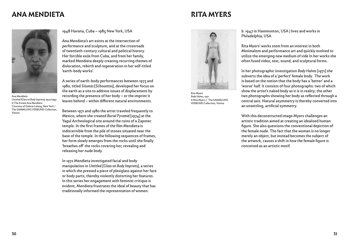### **ANA MENDIETA RITA MYERS**

Ana Mendieta *Untitled (Glass on Body Imprints),* 1972/1997 © The Estate Ana Mendieta Courtesy of Galerie Lelong, New York / The SAMMLUNG VERBUND Collection, Vienna

1948 Havana, Cuba – 1985 New York, USA

Ana Mendieta's art exists at the intersection of performance and sculpture, and at the crossroads of twentieth-century cultural and political history. Her forcible exile from Cuba, and from her family, marked Mendieta deeply creating recurring themes of dislocation, rebirth and regeneration in her self-titled 'earth-body works'.

A series of earth-body performances between 1973 and 1980, titled *Siluetas* [*Silhouettes*], developed her focus on the earth as a site to address issues of displacement by recording the presence of her body – or the imprint it leaves behind – within different natural environments.

Between 1971 and 1980 the artist traveled frequently to Mexico, where she created *Burial Pyramid* [1974] at the Yagul Archeological site around the ruins of a Zapotec temple. In the first frames of the film Mendieta is indiscernible from the pile of stones situated near the base of the temple. In the following sequences of frames, her form slowly emerges from the rocks until she finally 'breathes off' the rocks covering her, revealing and releasing her nude body.

In 1972 Mendieta investigated facial and body manipulation in *Untitled [Glass on Body Imprints]*, a series in which she pressed a piece of plexiglass against her face or body parts, thereby violently distorting her features. In this series her engagement with feminist critique is evident, Mendieta frustrates the ideal of beauty that has traditionally informed the representation of women.

b. 1947 in Hammonton, USA | lives and works in Philadelphia, USA

Rita Myers' works stem from an interest in both Minimalism and performance art and quickly evolved to utilize the emerging new medium of vide In her works she often fused video, text, sound, and sculptural forms.

In her photographic investigation *Body Halves* [1971] she subverts the idea of a 'perfect' female body. The work is based on the notion that the body has a 'better' and a 'worse' half. It consists of four photographs: two of which show the artist's naked body as it is in reality; the other two photographs showing her body as reflected through a central axis. Natural asymmetry is thereby converted into an unsettling, artificial symmetry.

With this deconstructed image Myers challenges an artistic tradition aimed at creating an idealised human figure. She also questions the conventional depiction of the female nude. The fact that the woman is no longer merely an object, but instead becomes the subject of the artwork, causes a shift in how the female figure is conceived as an artistic motif.



Rita Myers *Body Halves*, 1971

© Rita Myers / The SAMMLUNG VERBUND Collection, Vienna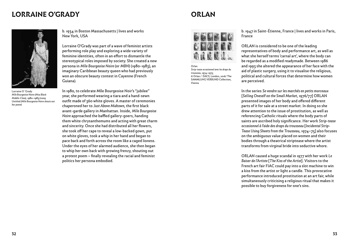### **LORRAINE O'GRADY CONVERTIGATION**



Lorraine O´Grady *Mlle Bourgeoise Noire (Miss Black Middle-Class)*, 1980–1983/2009 *Untitled (Mlle Bourgeoise Noire shouts out her poem)*

b. 1934 in Boston Massachusetts | lives and works New York, USA

Lorraine O'Grady was part of a wave of feminist artists performing role play and exploring a wide variety of feminine identities, often in an effort to dismantle the stereotypical roles imposed by society. She created a new persona in *Mlle Bourgeoise Noire* (or *MBN*) (1980-1983), an imaginary Caribbean beauty queen who had previously won an obscure beauty contest in Cayenne (French Guiana).

In 1980, to celebrate Mlle Bourgeoise Noir's "jubilee" year, she performed wearing a tiara and a hand-sewn outfit made of 360 white gloves. A master of ceremonies chaperoned her to *Just Above Midtown*, the first black avant-garde gallery in Manhattan. Inside, *Mlle Bourgeoise Noire* approached the baffled gallery-goers, handing them white chrysanthemums and acting with great charm and sincerity. Once she had distributed all her flowers, she took off her cape to reveal a low-backed gown, put on white gloves, took a whip in her hand and began to pace back and forth across the room like a caged lioness. Under the eyes of her alarmed audience, she then began to whip her own back with growing frenzy, shouting out a protest poem – finally revealing the racial and feminist politics her persona embodied.



Orlan *Strip-tease occasionnel avec les draps du trousseau*, 1974–1975 © Orlan / DACS, London, 2016/ The SAMMLUNG VERBUND Collection, Vienna

b. 1947 in Saint-Étienne, France | lives and works in Paris, France

ORLAN is considered to be one of the leading representatives of body and performance art, as well as what she herself terms 'carnal art', where the body can be regarded as a modified readymade. Between 1986 and 1993 she altered the appearance of her face with the aid of plastic surgery, using it to visualise the religious, political and cultural forces that determine how women are perceived.

In the series *Se vendre sur les marchés en petits morceaux* [*Selling Oneself on the Small Market*, 1976/77] ORLAN presented images of her body and offered different parts of it for sale at a street market. In doing so she drew attention to the issue of prostitution, as well as referencing Catholic rituals where the body parts of saints are ascribed holy significance. Her work *Strip-tease occasionnel à l'aide des draps du trousseau* [*Incidental Strip-Tease Using Sheets from the Trousseau*, 1974–75] also focuses on the ambiguous value placed on women and their bodies through a theatrical striptease where the artist transforms from virginal bride into seductive whore.

ORLAN caused a huge scandal in 1977 with her work *Le Baiser de l'Artiste* [*The Kiss of the Artist*]. Visitors to the French art fair FIAC could pay into a slot machine to win a kiss from the artist or light a candle. This provocative performance introduced prostitution at an art fair, while simultaneously criticising a religious ritual that makes it possible to buy forgiveness for one's sins.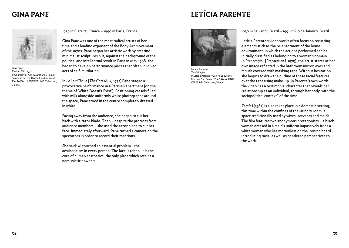# **GINA PANE LETÍCIA PARENTE**



Gina Pane *The Hot Milk*, 1972 © Courtesy of Anne Marchand / kamel mennour, Paris / DACS, London, 2016/ The SAMMLUNG VERBUND Collection, Vienna

1939 in Biarritz, France – 1990 in Paris, France

Gina Pane was one of the most radical artists of her time and a leading exponent of the Body Art movement of the 1970s. Pane began her artistic work by creating minimalist sculptures but, against the background of the political and intellectual revolt in Paris in May 1968, she began to develop performance pieces that often involved acts of self-mutilation.

In *Le Lait Chaud* [*The Cats Milk*, 1972] Pane staged a provocative performance in a Parisien apartment [on the theme of , White Doesn't Exist']. Positioning vessels filled with milk alongside uniformly white photographs around the space, Pane stood in the centre completely dressed in white.

Facing away from the audience, she began to cut her back with a razor blade. Then – despite the protests from audience members – she used the razor blade to cut her face. Immediately afterward, Pane turned a camera on the spectators in order to record their reactions.

She said: »I touched an essential problem—the aestheticism in every person. The face is taboo. It is the core of human aesthetics, the only place which retains a narcissistic power.«



Letícia Parente *Tarefa I*, 1982 © Letícia Parente / Galeria Jaqueline Martins, São Paulo / The SAMMLUNG VERBUND Collection, Vienna

1930 in Salvador, Brazil – 1991 in Rio de Janeiro, Brazil

Letícia Parente's video works often focus on recurring elements such as the re-enactment of the home environment, in which the actions performed can be initially classified as belonging to a woman's domain. In *Preparação I* [*Preparation I*, 1975], the artist stares at her own image reflected in the bathroom mirror, eyes and mouth covered with masking tape. Without hesitation, she begins to draw the outline of these facial features over the tape using make-up. In Parente's own words, the video has a testimonial character that reveals her "relationship as an individual, through her body, with the sociopolitical context" of the time.

Tarefa I (1982) is also takes place in a domestic setting, this time within the confines of the laundry room, a space traditionally used by wives, servants and maids. The film features two anonymous protagonists – a black woman dressed in a maid's uniform impassively irons a white woman who lies motionless on the ironing board – introducing racial as well as gendered perspectives to the work.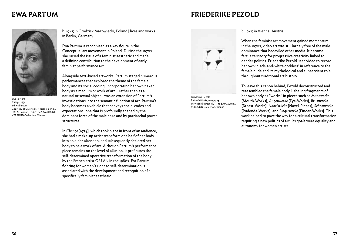### **EWA PARTUM FRIEDERIKE PEZOLD**



Ewa Partum *Change*, 1974 © Ewa Partum Courtesy of Galerie M+R Fricke, Berlin / DACS, London, 2016/ The SAMMLUNG VERBUND Collection, Vienna

b. 1945 in Grodzisk Mazowiecki, Poland | lives and works in Berlin, Germany

Ewa Partum is recognised as a key figure in the Conceptual art movement in Poland. During the 1970s she raised the issue of a feminist aesthetic and made a defining contribution to the development of early feminist performance art.

Alongside text-based artworks, Partum staged numerous performances that explored the theme of the female body and its social coding. Incorporating her own naked body as a medium or work of art – rather than as a natural or sexual object—was an extension of Partum's investigations into the semantic function of art. Partum's body becomes a vehicle that conveys social codes and expectations, one that is profoundly shaped by the dominant force of the male gaze and by patriarchal power structures.

In *Change* [1974], which took place in front of an audience, she had a make-up artist transform one half of her body into an older alter ego, and subsequently declared her body to be a work of art. Although Partum's performance piece remains on the level of allusion, it prefigures the self-determined operative transformation of the body by the French artist ORLAN in the 1980s. For Partum, fighting for women's right to self-determination is associated with the development and recognition of a specifically feminist aesthetic.



Friederike Pezold *Pudenda-Works*, 1973/1974 © Friederike Pezold / The SAMMLUNG VERBUND Collection, Vienna

### b. 1945 in Vienna, Austria

When the feminist art movement gained momentum in the 1970s, video art was still largely free of the male dominance that bedeviled other media. It became fertile territory for progressive creativity linked to gender politics. Friederike Pezold used video to record her own 'black-and-white goddess' in reference to the female nude and its mythological and subservient role throughout traditional art history.

To leave this canon behind, Pezold deconstructed and reassembled the female body. Labeling fragments of her own body as "works" in pieces such as *Mundwerke* [Mouth-Works], *Augenwerke* [Eye-Works], *Brustwerke* [Breast-Works], *Nabelstücke* [Navel-Pieces], *Schamwerke* [Pudenda-Works], and *Fingerwerke* [Finger-Works]. This work helped to pave the way for a cultural transformation requiring a new politics of art. Its goals were equality and autonomy for women artists.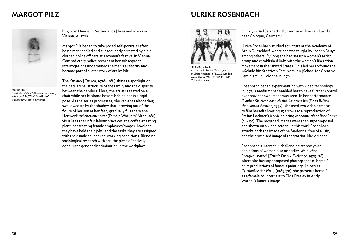

Margot Pilz *Dissolution of the 4th Dimension*, 1978/2015 © Margot Pilz / The SAMMLUNG VERBUND Collection, Vienna

b. 1936 in Haarlem, Netherlands | lives and works in Vienna, Austria

Margot Pilz began to take posed self-portraits after being manhandled and subsequently arrested by plain clothed police officers at a women's festival in Vienna. Contradictory police records of her subsequent interrogations undermined the men's authority and became part of a later work of art by Pilz.

The *Kuckuck* [*Cuckoo*, 1978–1981] shines a spotlight on the patriarchal structure of the family and the disparity between the genders. Here, the artist is seated on a chair while her husband hovers behind her in a rigid pose. As the series progresses, she vanishes altogether, swallowed up by the shadow that, growing out of the figure of her son at her feet, gradually fills the scene. Her work *Arbeiterinnenaltar* [Female Workers' Altar, 1981] visualizes the unfair labour practices at a coffee-roasting plant, contrasting female employees' wages, how long they have held their jobs, and the tasks they are assigned with their male colleagues' working conditions. Blending sociological research with art, the piece effectively denounces gender discrimination in the workplace.

### **MARGOT PILZ ULRIKE ROSENBACH**



Ulrike Rosenbach *Art is a criminal action No. 4*, 1969 © Ulrike Rosenbach / DACS, London, 2016/ The SAMMLUNG VERBUND Collection, Vienna

b. 1943 in Bad Salzdetfurth, Germany | lives and works near Cologne, Germany

Ulrike Rosenbach studied sculpture at the Academy of Art in Düsseldorf, where she was taught by Joseph Beuys, among others. By 1969 she had set up a women's artist group and established links with the women's liberation movement in the United States. This led her to found the »Schule für Kreativen Feminismus« (School for Creative Feminism) in Cologne in 1976.

Rosenbach began experimenting with video technology in 1972, a medium that enabled her to have further control over how her own image was seen. In her performance *Glauben Sie nicht, dass ich eine Amazone bin* [*Don't Believe that I am an Amazon*, 1975], she used two video cameras to film herself shooting 15 arrows at a reproduction of Stefan Lochner's iconic painting *Madonna of the Rose Bower* [c.1450]. The recorded images were then superimposed and shown on a video screen. In this work Rosenbach attacks both the image of the Madonna, free of all sin; and the eroticised image of the warrior-like Amazon.

Rosenbach's interest in challenging stereotypical depictions of women also underlies *Weiblicher Energieaustausch* [*Female Energy-Exchange*, 1975–76], where she has superimposed photographs of herself on reproductions of famous paintings. In *Art is a Criminal Action No. 4* [1969/70], she presents herself as a female counterpart to Elvis Presley in Andy Warhol's famous image.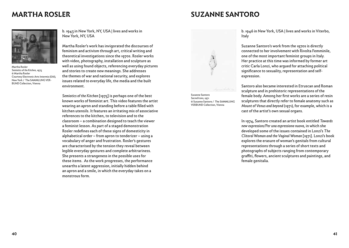### **MARTHA ROSLER SUZANNE SANTORO**



Martha Rosler *Semiotics of the Kitchen*, 1975 © Martha Rosler Courtesy Electronic Arts Intermix (EAI), New York / The SAMMLUNG VER-BUND Collection, Vienna

b. 1943 in New York, NY, USA | lives and works in New York, NY, USA

Martha Rosler's work has invigorated the discourses of feminism and activism through art, critical writing and theoretical investigations since the 1970s. Rosler works with video, photography, installation and sculpture as well as using found objects, referencing everyday pictures and stories to create new meanings. She addresses the themes of war and national security, and explores issues related to everyday life, the media and the built environment.

*Semiotics of the Kitchen* [1975] is perhaps one of the best known works of feminist art. This video features the artist wearing an apron and standing before a table filled with kitchen utensils. It features an irritating mix of associative references to the kitchen, to television and to the classroom – a combination designed to teach the viewer a feminist lesson. As part of a staged demonstration Rosler redefines each of these signs of domesticity in alphabetical order – from apron to tenderizer – using a vocabulary of anger and frustration. Rosler's gestures are characterised by the tension they reveal between legible everyday gestures and complete arbitrariness. She presents a strangeness in the possible uses for these items. As the work progresses, the performance unearths a latent aggression, initially hidden behind an apron and a smile, in which the everyday takes on a monstrous form.



Susanne Santoro *Sacred Icons*, 1971 © Susanne Santoro / The SAMMLUNG VERBUND Collection, Vienna

b. 1946 in New York, USA | lives and works in Viterbo, Italy

Suzanne Santoro's work from the 1970s is directly connected to her involvement with Rivolta Femminile, one of the most important feminist groups in Italy. Her practice at this time was informed by former art critic Carla Lonzi, who argued for attaching political significance to sexuality, representation and selfexpression.

Santoro also became interested in Etruscan and Roman sculpture and in prehistoric representations of the female body. Among her first works are a series of resin sculptures that directly refer to female anatomy such as *Mount of Venus and beyond* (1971), for example, which is a cast of the artist's own sexual organs.

In 1974, Santoro created an artist book entitled *Towards new expression/Per una espressione nuova*, in which she developed some of the issues contained in Lonzi's *The Clitoral Woman and the Vaginal Woman* [1971]. Lonzi's book explores the erasure of woman's genitals from cultural representations through a series of short texts and photographs of subjects ranging from contemporary graffiti, flowers, ancient sculptures and paintings, and female genitalia.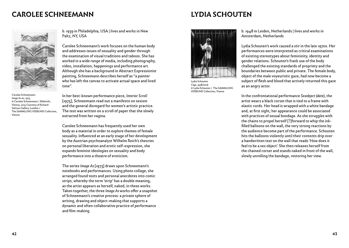### **CAROLEE SCHNEEMANN LYDIA SCHOUTEN**



Carolee Schneemann *Image As #2*, 1973 © Carolee Schneemann / Bildrecht, Vienna, 2015 Courtesy of Richard Saltoun Gallery, London / The SAMMLUNG VERBUND Collection, Vienna

b. 1939 in Philadelphia, USA | lives and works in New Paltz, NY, USA

Carolee Schneemann's work focuses on the human body and addresses issues of sexuality and gender through the examination of visual traditions and taboos. She has worked in a wide range of media, including photography, video, installation, happenings and performance art. Although she has a background in Abstract Expressionist painting, Schneemann describes herself as "a painter who has left the canvas to activate actual space and lived time".

In her best-known performance piece, *Interior Scroll* [1975], Schneemann read out a manifesto on sexism and the general disregard for women's artistic practice. The text was written on a scroll of paper that she slowly extracted from her vagina.

Carolee Schneemann has frequently used her own body as a material in order to explore themes of female sexuality. Influenced at an early stage of her development by the Austrian psychoanalyst Wilhelm Reich's theories on personal liberation and erotic self-expression, she expands feminist ideologies on sexuality and body performance into a theatre of eroticism.

The series *Image As* [1973] draws upon Schneemann's notebooks and performances. Using photo collage, she arranged found texts and personal anecdotes into comic strips, whereby the term 'strip' has a double meaning, as the artist appears as herself, naked, in these works. Taken together, the three *Image As* works offer a snapshot of Schneemann's creative process: a private sphere of writing, drawing and object-making that supports a dynamic and often collaborative practice of performance and film-making.



Lydia Schouten *Cage*, 1978/2016 © Lydia Schouten / The SAMMLUNG VERBUND Collection, Vienna

b. 1948 in Leiden, Netherlands | lives and works in Amsterdam, Netherlands

Lydia Schouten's work caused a stir in the late 1970s. Her performances were interpreted as critical examinations of existing stereotypes about femininity, identity and gender relations. Schouten's frank use of the body challenged the existing standards of propriety and the boundaries between public and private. The female body, object of the male voyeuristic gaze, had now become a subject of flesh and blood that actively returned this gaze as an angry actor.

In the confrontational performance *Sexobject (date)*, the artist wears a black corset that is tied to a frame with elastic cords. Her head is wrapped with a white bandage and, at first sight, her appearance could be associated with practices of sexual bondage. As she struggles with the chains to propel herself [?]forward to whip the inkfilled balloons on the wall, the very strong reactions by the audience become part of the performance. Schouten hits the balloons violently until their contents drip over a handwritten text on the wall that reads 'How does it feel to be a sex object'. She then releases herself from the chained corset and stands naked in front of the wall, slowly unrolling the bandage, restoring her view.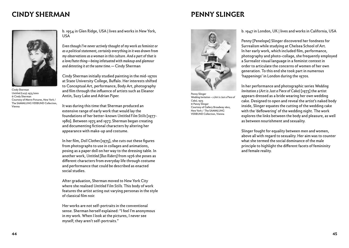### **CINDY SHERMAN PENNY SLINGER**



Cindy Sherman *Untitled (Lucy),* 1975/2001 © Cindy Sherman Courtesy of Metro Pictures, New York / The SAMMLUNG VERBUND Collection, Vienna

b. 1954 in Glen Ridge, USA | lives and works in New York, USA

*Even though I've never actively thought of my work as feminist or as a political statement, certainly everything in it was drawn from my observations as a woman in this culture. And a part of that is a love/hate thing—being infatuated with makeup and glamour and detesting it at the same time.—* Cindy Sherman

Cindy Sherman initially studied painting in the mid-1970s at State University College, Buffalo. Her interests shifted to Conceptual Art, performance, Body Art, photography and film through the influence of artists such as Eleanor Antin, Suzy Lake and Adrian Piper.

It was during this time that Sherman produced an extensive range of early work that would lay the foundations of her better-known *Untitled Film Stills* [1977- 1980]. Between 1975 and 1977, Sherman began creating and documenting fictional characters by altering her appearance with make-up and costume.

In her film, *Doll Clothes* [1975], she cuts out these figures from photographs to use in collages and animations, posing as a paper doll on her way to the dressing table. In another work, *Untitled [Bus Riders]* from 1976 she poses as different characters from everyday life through costume and performance that could be described as enacted social studies.

After graduation, Sherman moved to New York City where she realised *Untitled Film Stills*. This body of work features the artist acting out varying personas in the style of classical film noir.

Her works are not self-portraits in the conventional sense. Sherman herself explained: "I feel I'm anonymous in my work. When I look at the pictures, I never see myself; they aren't self-portraits."



Penny Slinger *Wedding Invitation – 2 (Art is Just a Piece of Cake)*, 1973 © Penny Slinger Courtesy of Gallery Broadway 1602, New York / The SAMMLUNG VERBUND Collection, Vienna

b. 1947 in London, UK | lives and works in California, USA

Penny [Penelope] Slinger discovered her fondness for Surrealism while studying at Chelsea School of Art. In her early work, which included film, performance, photography and photo-collage, she frequently employed a Surrealist visual language in a feminist context in order to articulate the concerns of women of her own generation. To this end she took part in numerous 'happenings' in London during the 1970s.

In her performance and photographic series *Wedding Invitation 2 (Art is Just a Piece of Cake)* [1973] the artist appears dressed as a bride wearing her own wedding cake. Designed to open and reveal the artist's naked body inside, Slinger equates the cutting of the wedding cake with the 'deflowering' of the wedding night. The work explores the links between the body and pleasure, as well as between nourishment and sexuality.

Slinger fought for equality between men and women, above all with regard to sexuality. Her aim was to counter what she termed the social dominance of the male principle to highlight the different facets of femininity and female reality.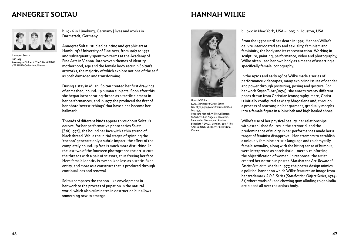### **ANNEGRET SOLTAU HANNAH WILKE**



Annegret Soltau *Self,* 1975 © Annegret Soltau / The SAMMLUNG VERBUND Collection, Vienna

b. 1946 in Lüneburg, Germany | lives and works in Darmstadt, Germany

Annegret Soltau studied painting and graphic art at Hamburg's University of Fine Arts, from 1967 to 1972 and subsequently spent two terms at the Academy of Fine Arts in Vienna. Interwoven themes of identity, motherhood, age and the female body recur in Soltau's artworks, the majority of which explore notions of the self as both damaged and transforming.

During a stay in Milan, Soltau created her first drawings of enmeshed, bound-up human subjects. Soon after this she began incorporating thread as a tactile element in her performances, and in 1977 she produced the first of her photo 'overstitchings' that have since become her hallmark.

Threads of different kinds appear throughout Soltau's oeuvre, for her performative photo series *Selbst* [*Self*, 1975], she bound her face with a thin strand of black thread. While the initial stages of spinning the 'cocoon' generate only a subtle impact, the effect of the completely bound-up face is much more disturbing. In the last two of the fourteen photographs the artist cuts the threads with a pair of scissors, thus freeing her face. Here female identity is symbolized less as a static, fixed entity, and more as a construct that is produced through continual loss and renewal.

Soltau compares the cocoon-like envelopment in her work to the process of pupation in the natural world, which also culminates in destruction but allows something new to emerge.



Hannah Wilke *S.O.S. Starification Object Series. One of 36 playing cards from mastication box,* 1975 Post card Hannah Wilke Collection & Archive, Los Angeles. © Marsie, Emanuelle, Damon, and Andrew Scharlatt / DACS, London, 2016/ The SAMMLUNG VERBUND Collection, Vienna

b. 1940 in New York, USA – 1993 in Houston, USA

From the 1970s until her death in 1993, Hannah Wilke's oeuvre interrogated sex and sexuality, feminism and femininity, the body and its representation. Working in sculpture, painting, performance, video and photography, Wilke often used her own body as a means of asserting a specifically female iconography.

In the 1970s and early 1980s Wilke made a series of performance videotapes, many exploring issues of gender and power through posturing, posing and gesture. For her work *Super-T-Art [*1974], she enacts twenty different poses drawn from Christian iconography. Here, Christ is initially configured as Mary Magdalene and, through a process of rearranging her garment, gradually morphs into a female figure in a loincloth and high healed shoes.

Wilke's use of her physical beauty, her relationships with established figures in the art world, and the predominance of nudity in her performances made her a target of feminist disapproval. Her attempts to establish a uniquely feminine artistic language and to demystify female sexuality, along with the biting sense of humour, were interpreted as narcissistic – merely reinforcing the objectification of women. In response, the artist created her notorious poster, *Marxism and Art: Beware of Fascist Feminism*. Made in 1977, the poster design mimics a political banner on which Wilke features an image from her trademark *S.O.S. Series* (*Starification Object Series*, 1974- 82) where wads of used chewing gum alluding to genitalia are placed all over the artists body.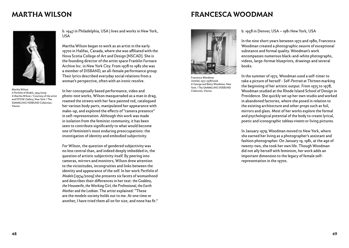### **MARTHA WILSON FRANCESCA WOODMAN**



Martha Wilson *A Portfolio of Models*, 1974/2009 © Martha Wilson / Courtesy of the artist and P.P.O.W. Gallery, New York / The SAMMLUNG VERBUND Collection, Vienna

b. 1947 in Philadelphia, USA | lives and works in New York, USA

Martha Wilson began to work as an artist in the early 1970s in Halifax, Canada, where she was affiliated with the Nova Scotia College of Art and Design [NSCAD]. She is the founding director of the artist space Franklin Furnace Archive Inc. in New York City. From 1978 to 1982 she was a member of DISBAND, an all-female performance group. Their lyrics described everyday social relations from a woman's perspective, often with an ironic resolve.

In her conceptually based performance, video and photo-text works, Wilson masqueraded as a man in drag, roamed the streets with her face painted red, catalogued her various body parts, manipulated her appearance with make-up, and explored the effects of "camera presence" in self-representation. Although this work was made in isolation from the feminist community, it has been seen to contribute significantly to what would become one of feminism's most enduring preoccupations: the investigation of identity and embodied subjectivity.

For Wilson, the question of gendered subjectivity was no less central than, and indeed deeply imbedded in, the question of artistic subjectivity itself. By peering into cameras, mirrors and monitors, Wilson drew attention to the vicissitudes, incongruities and links between the identity and appearance of the self. In her work *Portfolio of Models* [1974/2009] she presents six facets of womanhood and describes their differences in her text: *the Goddess, the Housewife, the Working Girl, the Professional, the Earth Mother and the Lesbian*. The artist explained: "These are the models society holds out to me. At one time or another, I have tried them all on for size, and none has fit."



Francesca Woodman *Untitled*, 1977-1978/2006 © George and Betty Woodman, New York / The SAMMLUNG VERBUND Collection, Vienna

b. 1958 in Denver, USA – 1981 New York, USA

In the nine short years between 1972 and 1980, Francesca Woodman created a photographic oeuvre of exceptional substance and formal quality. Woodman's work encompasses numerous black-and-white photographs, videos, large-format blueprints, drawings and several books.

In the summer of 1972, Woodman used a self-timer to take a picture of herself - *Self-Portrait at Thirteen* marking the beginning of her artistic output. From 1975 to 1978, Woodman studied at the Rhode Island School of Design in Providence. She quickly set up her own studio and worked in abandoned factories, where she posed in relation to the existing architecture and other props such as foil, mirrors and glass. Most of her works explore the formal and psychological potential of the body to create lyrical, poetic and iconographic *tableau vivants* or living pictures.

In January 1979, Woodman moved to New York, where she earned her living as a photographer's assistant and fashion photographer. On January 19, 1981, at the age of twenty-two, she took her own life. Though Woodman did not ally herself with feminism, her work adds an important dimension to the legacy of female selfrepresentation in the 1970s.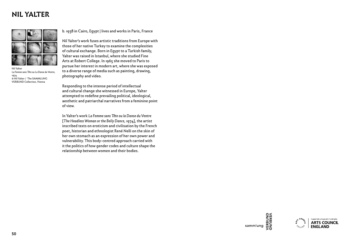## **NIL YALTER**



Nil Yalter *La Femme sans Tête ou La Danse du Ventre*, 1974 © Nil Yalter / The SAMMLUNG VERBUND Collection, Vienna

b. 1938 in Cairo, Egypt | lives and works in Paris, France

Nil Yalter's work fuses artistic traditions from Europe with those of her native Turkey to examine the complexities of cultural exchange. Born in Egypt to a Turkish family, Yalter was raised in Istanbul, where she studied Fine Arts at Robert College. In 1965 she moved to Paris to pursue her interest in modern art, where she was exposed to a diverse range of media such as painting, drawing, photography and video.

Responding to the intense period of intellectual and cultural change she witnessed in Europe, Yalter attempted to redefine prevailing political, ideological, aesthetic and patriarchal narratives from a feminine point of view.

In Yalter's work *La Femme sans Tête ou la Danse du Ventre* [*The Headless Woman or the Belly Dance*, 1974], the artist inscribed texts on eroticism and civilisation by the French poet, historian and ethnologist René Nelli on the skin of her own stomach as an expression of her own power and vulnerability. This body-centred approach carried with it the politics of how gender codes and culture shape the relationship between women and their bodies.